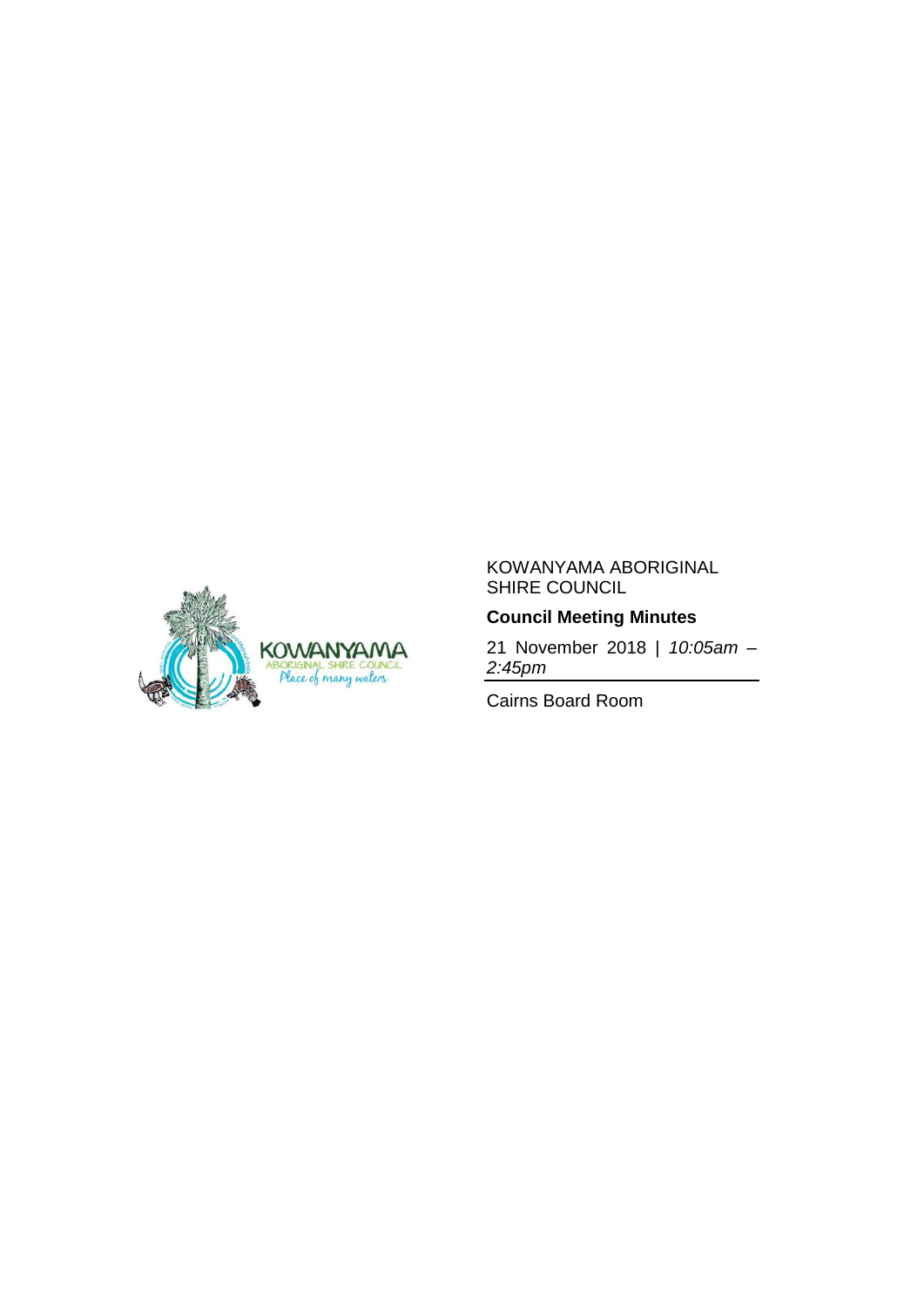

### KOWANYAMA ABORIGINAL SHIRE COUNCIL

## **Council Meeting Minutes**

21 November 2018 | *10:05am – 2:45pm*

Cairns Board Room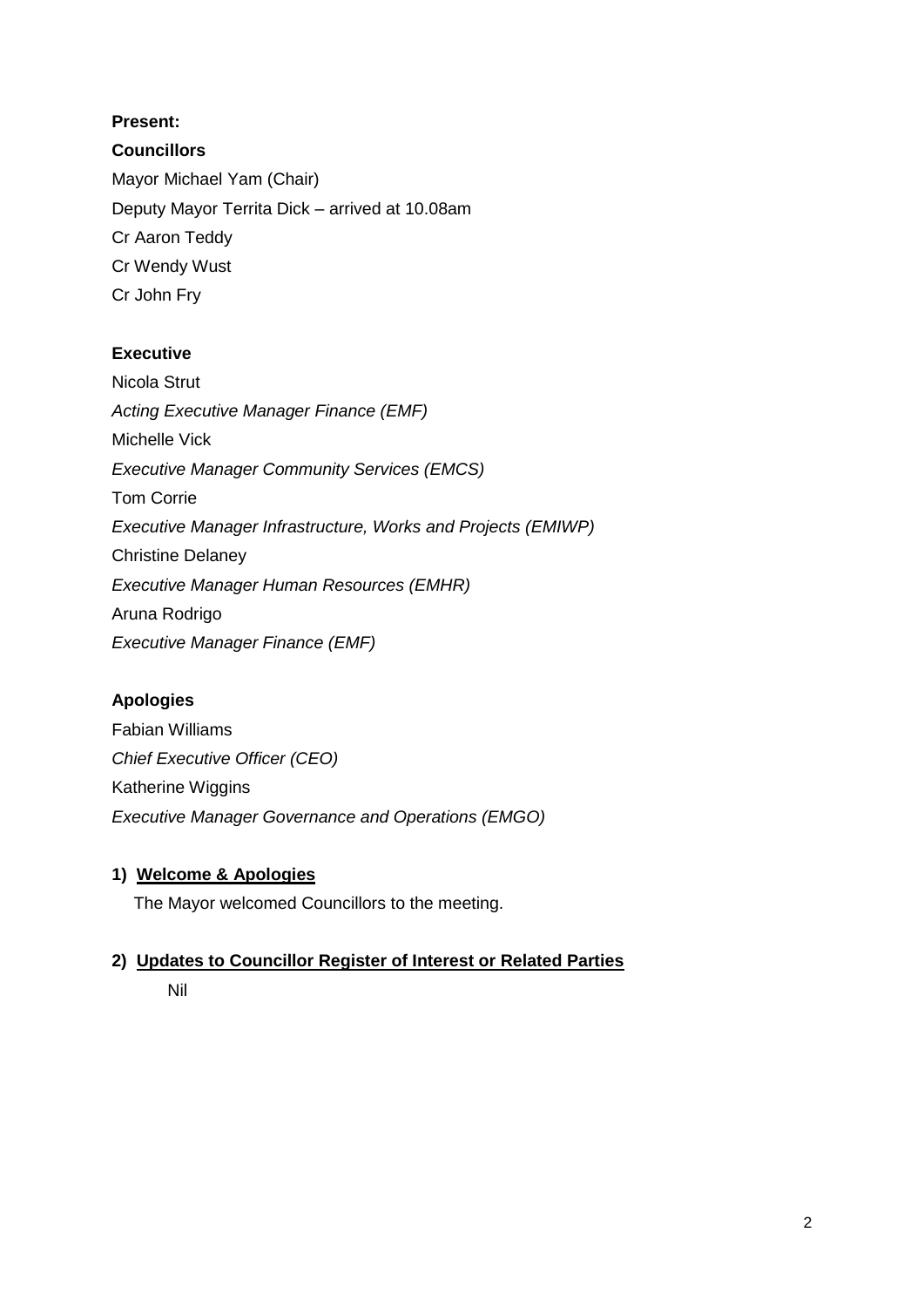# **Present:**

## **Councillors**

Mayor Michael Yam (Chair) Deputy Mayor Territa Dick – arrived at 10.08am Cr Aaron Teddy Cr Wendy Wust Cr John Fry

## **Executive**

Nicola Strut *Acting Executive Manager Finance (EMF)* Michelle Vick *Executive Manager Community Services (EMCS)* Tom Corrie *Executive Manager Infrastructure, Works and Projects (EMIWP)* Christine Delaney *Executive Manager Human Resources (EMHR)* Aruna Rodrigo *Executive Manager Finance (EMF)*

### **Apologies**

Fabian Williams *Chief Executive Officer (CEO)* Katherine Wiggins *Executive Manager Governance and Operations (EMGO)*

### **1) Welcome & Apologies**

The Mayor welcomed Councillors to the meeting.

# **2) Updates to Councillor Register of Interest or Related Parties**

Nil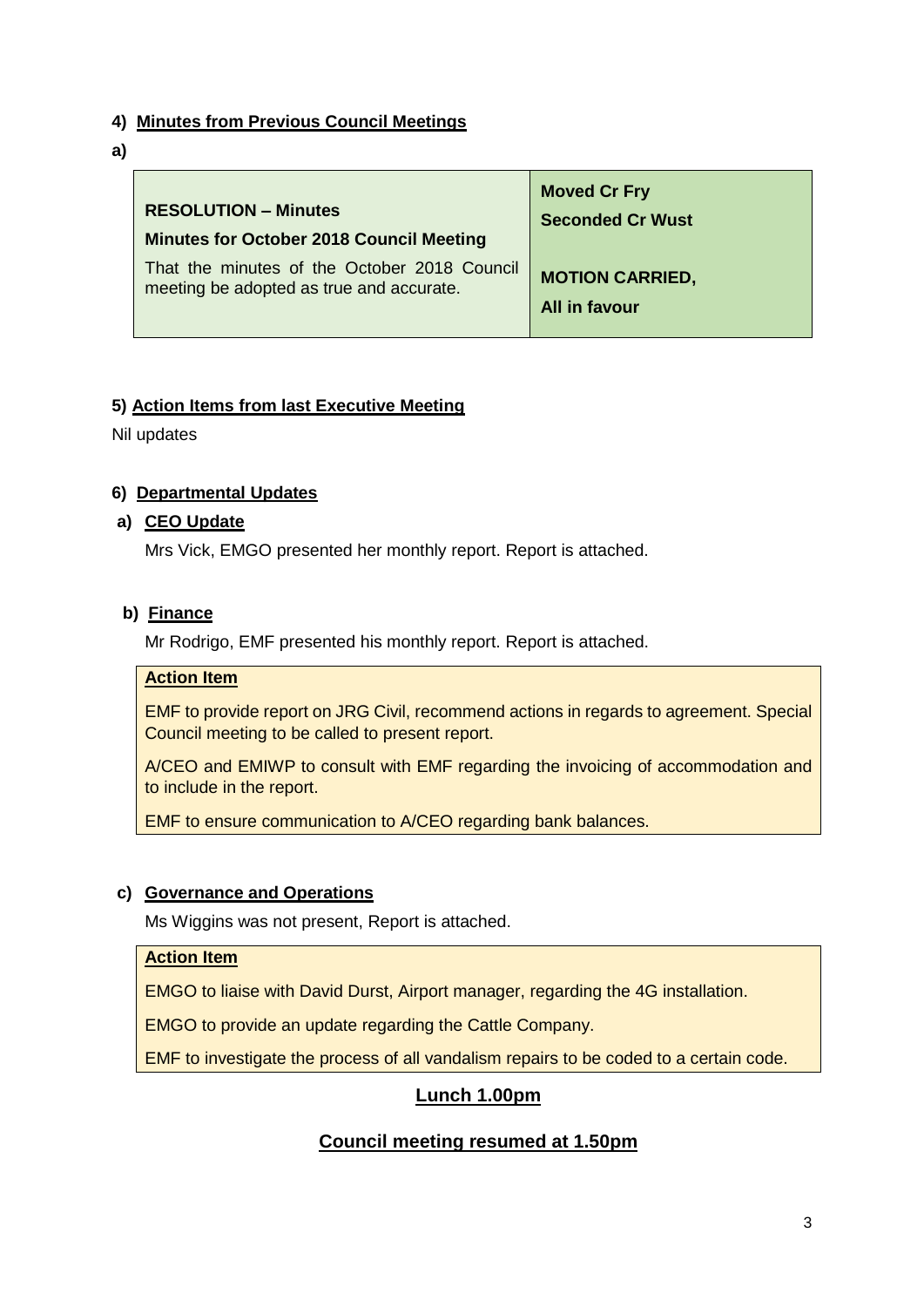### **4) Minutes from Previous Council Meetings**

**a)**

| <b>RESOLUTION - Minutes</b>                     | <b>Moved Cr Fry</b>     |
|-------------------------------------------------|-------------------------|
| <b>Minutes for October 2018 Council Meeting</b> | <b>Seconded Cr Wust</b> |
| That the minutes of the October 2018 Council    | <b>MOTION CARRIED,</b>  |
| meeting be adopted as true and accurate.        | All in favour           |

### **5) Action Items from last Executive Meeting**

Nil updates

### **6) Departmental Updates**

#### **a) CEO Update**

Mrs Vick, EMGO presented her monthly report. Report is attached.

#### **b) Finance**

Mr Rodrigo, EMF presented his monthly report. Report is attached.

## **Action Item**

EMF to provide report on JRG Civil, recommend actions in regards to agreement. Special Council meeting to be called to present report.

A/CEO and EMIWP to consult with EMF regarding the invoicing of accommodation and to include in the report.

EMF to ensure communication to A/CEO regarding bank balances.

### **c) Governance and Operations**

Ms Wiggins was not present, Report is attached.

### **Action Item**

EMGO to liaise with David Durst, Airport manager, regarding the 4G installation.

EMGO to provide an update regarding the Cattle Company.

EMF to investigate the process of all vandalism repairs to be coded to a certain code.

# **Lunch 1.00pm**

# **Council meeting resumed at 1.50pm**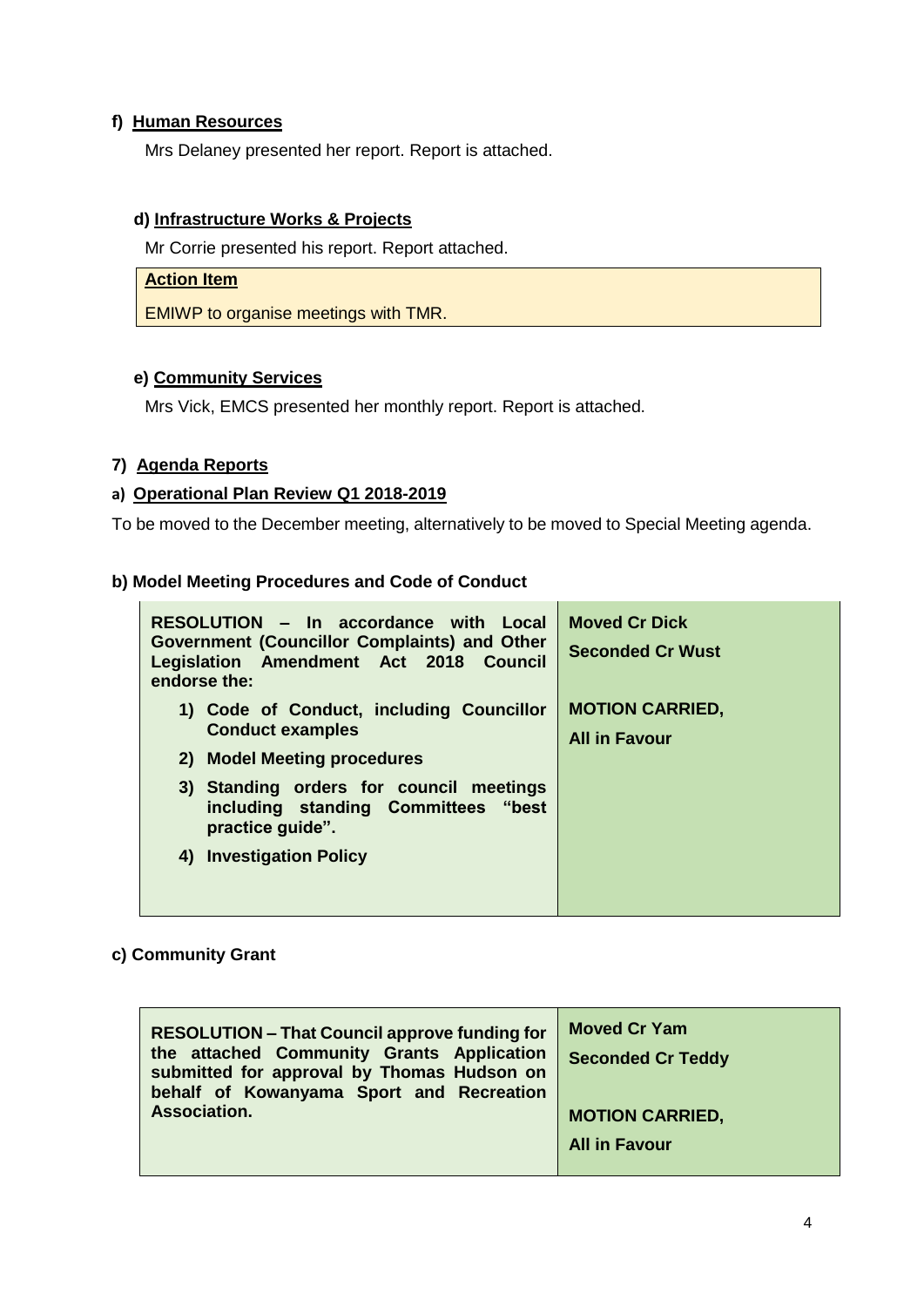### **f) Human Resources**

Mrs Delaney presented her report. Report is attached.

### **d) Infrastructure Works & Projects**

Mr Corrie presented his report. Report attached.

#### **Action Item**

EMIWP to organise meetings with TMR.

#### **e) Community Services**

Mrs Vick, EMCS presented her monthly report. Report is attached.

#### **7) Agenda Reports**

#### **a) Operational Plan Review Q1 2018-2019**

To be moved to the December meeting, alternatively to be moved to Special Meeting agenda.

#### **b) Model Meeting Procedures and Code of Conduct**

| RESOLUTION - In accordance with Local<br><b>Government (Councillor Complaints) and Other</b><br>Legislation Amendment Act 2018 Council<br>endorse the: | <b>Moved Cr Dick</b><br><b>Seconded Cr Wust</b> |
|--------------------------------------------------------------------------------------------------------------------------------------------------------|-------------------------------------------------|
| 1) Code of Conduct, including Councillor<br><b>Conduct examples</b><br>2) Model Meeting procedures                                                     | <b>MOTION CARRIED,</b><br><b>All in Favour</b>  |
| 3) Standing orders for council meetings<br>including standing Committees "best<br>practice quide".                                                     |                                                 |
| 4) Investigation Policy                                                                                                                                |                                                 |

#### **c) Community Grant**

| <b>RESOLUTION - That Council approve funding for</b><br>the attached Community Grants Application<br>submitted for approval by Thomas Hudson on<br>behalf of Kowanyama Sport and Recreation | <b>Moved Cr Yam</b><br><b>Seconded Cr Teddy</b> |
|---------------------------------------------------------------------------------------------------------------------------------------------------------------------------------------------|-------------------------------------------------|
| Association.                                                                                                                                                                                | <b>MOTION CARRIED,</b>                          |
|                                                                                                                                                                                             | <b>All in Favour</b>                            |
|                                                                                                                                                                                             |                                                 |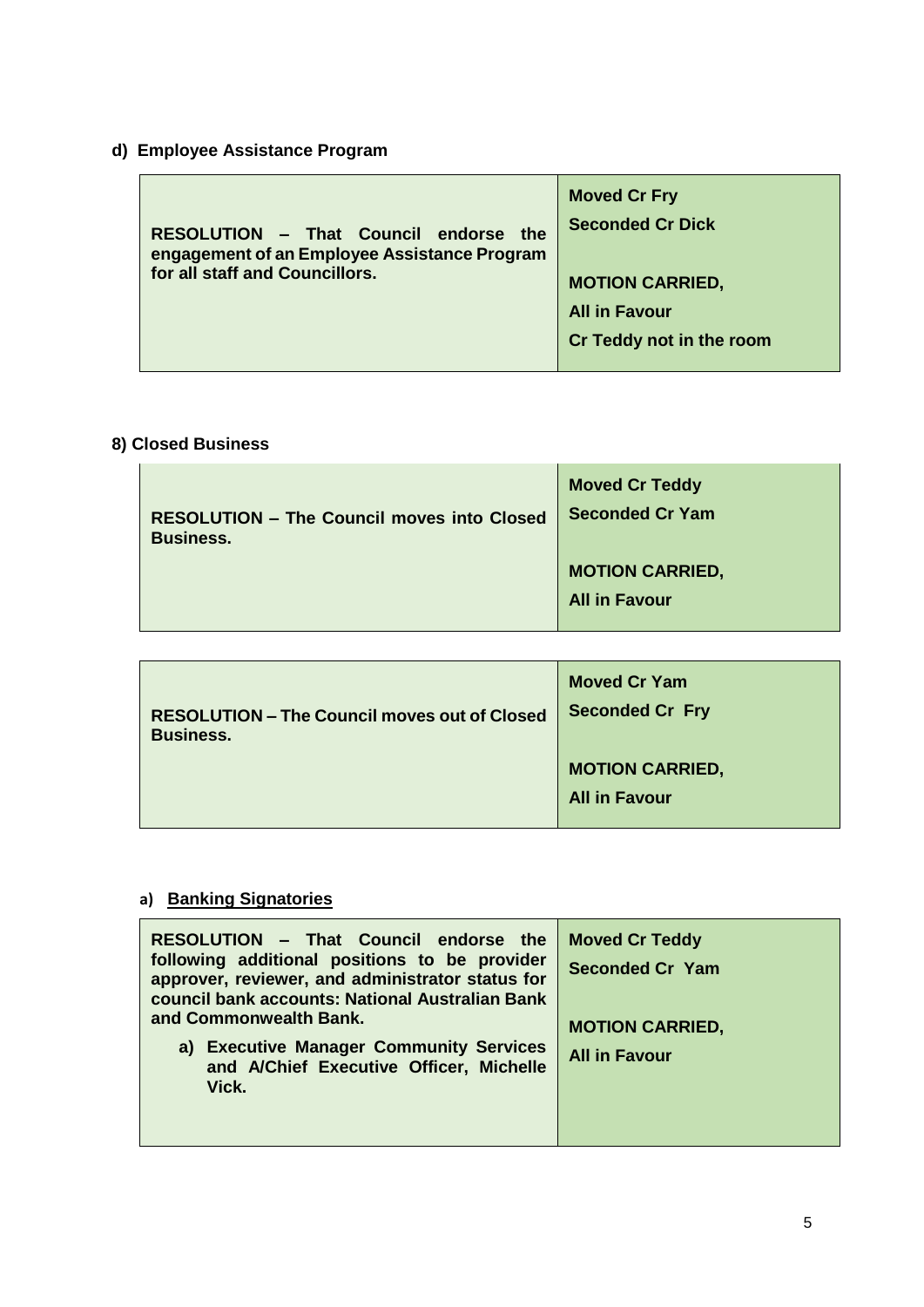# **d) Employee Assistance Program**

| RESOLUTION - That Council endorse the<br>engagement of an Employee Assistance Program<br>for all staff and Councillors. | <b>Moved Cr Fry</b><br><b>Seconded Cr Dick</b><br><b>MOTION CARRIED,</b><br><b>All in Favour</b><br>Cr Teddy not in the room |
|-------------------------------------------------------------------------------------------------------------------------|------------------------------------------------------------------------------------------------------------------------------|
|-------------------------------------------------------------------------------------------------------------------------|------------------------------------------------------------------------------------------------------------------------------|

# **8) Closed Business**

| <b>RESOLUTION - The Council moves into Closed</b> | <b>Moved Cr Teddy</b>                          |
|---------------------------------------------------|------------------------------------------------|
| <b>Business.</b>                                  | <b>Seconded Cr Yam</b>                         |
|                                                   | <b>MOTION CARRIED,</b><br><b>All in Favour</b> |

| <b>RESOLUTION - The Council moves out of Closed</b> | <b>Moved Cr Yam</b>                            |
|-----------------------------------------------------|------------------------------------------------|
| <b>Business.</b>                                    | <b>Seconded Cr Fry</b>                         |
|                                                     | <b>MOTION CARRIED,</b><br><b>All in Favour</b> |

# **a) Banking Signatories**

| RESOLUTION - That Council endorse the<br>following additional positions to be provider<br>approver, reviewer, and administrator status for<br>council bank accounts: National Australian Bank<br>and Commonwealth Bank. | <b>Moved Cr Teddy</b><br><b>Seconded Cr Yam</b><br><b>MOTION CARRIED,</b> |
|-------------------------------------------------------------------------------------------------------------------------------------------------------------------------------------------------------------------------|---------------------------------------------------------------------------|
| a) Executive Manager Community Services<br>and A/Chief Executive Officer, Michelle<br>Vick.                                                                                                                             | <b>All in Favour</b>                                                      |